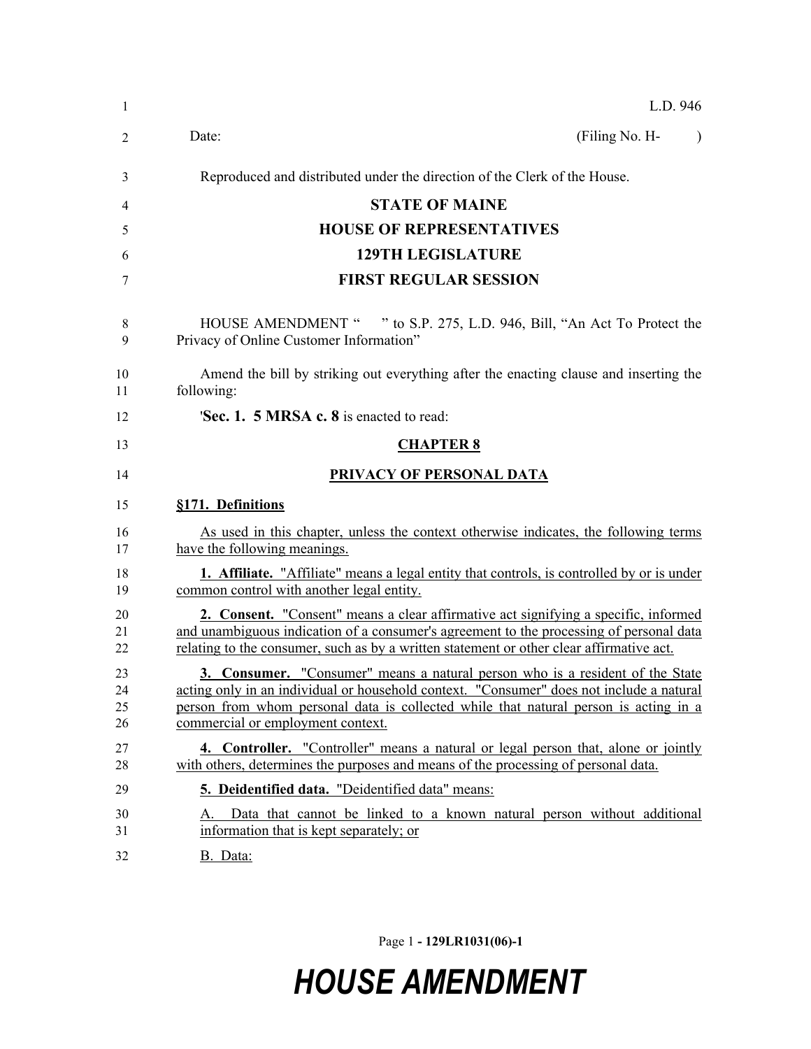| 1                    | L.D. 946                                                                                                                                                                                                                                                                                                      |  |  |  |
|----------------------|---------------------------------------------------------------------------------------------------------------------------------------------------------------------------------------------------------------------------------------------------------------------------------------------------------------|--|--|--|
| 2                    | (Filing No. H-<br>Date:                                                                                                                                                                                                                                                                                       |  |  |  |
| 3                    | Reproduced and distributed under the direction of the Clerk of the House.                                                                                                                                                                                                                                     |  |  |  |
| 4                    | <b>STATE OF MAINE</b>                                                                                                                                                                                                                                                                                         |  |  |  |
| 5                    | <b>HOUSE OF REPRESENTATIVES</b>                                                                                                                                                                                                                                                                               |  |  |  |
| 6                    | <b>129TH LEGISLATURE</b>                                                                                                                                                                                                                                                                                      |  |  |  |
| 7                    | <b>FIRST REGULAR SESSION</b>                                                                                                                                                                                                                                                                                  |  |  |  |
| 8<br>9               | HOUSE AMENDMENT " " to S.P. 275, L.D. 946, Bill, "An Act To Protect the<br>Privacy of Online Customer Information"                                                                                                                                                                                            |  |  |  |
| 10<br>11             | Amend the bill by striking out everything after the enacting clause and inserting the<br>following:                                                                                                                                                                                                           |  |  |  |
| 12                   | <b>Sec. 1. 5 MRSA c. 8</b> is enacted to read:                                                                                                                                                                                                                                                                |  |  |  |
| 13                   | <b>CHAPTER 8</b>                                                                                                                                                                                                                                                                                              |  |  |  |
| 14                   | PRIVACY OF PERSONAL DATA                                                                                                                                                                                                                                                                                      |  |  |  |
| 15                   | §171. Definitions                                                                                                                                                                                                                                                                                             |  |  |  |
| 16<br>17             | As used in this chapter, unless the context otherwise indicates, the following terms<br>have the following meanings.                                                                                                                                                                                          |  |  |  |
| 18<br>19             | <b>1.</b> Affiliate. "Affiliate" means a legal entity that controls, is controlled by or is under<br>common control with another legal entity.                                                                                                                                                                |  |  |  |
| 20<br>21<br>22       | <b>2. Consent.</b> "Consent" means a clear affirmative act signifying a specific, informed<br>and unambiguous indication of a consumer's agreement to the processing of personal data<br>relating to the consumer, such as by a written statement or other clear affirmative act.                             |  |  |  |
| 23<br>24<br>25<br>26 | <b>3. Consumer.</b> "Consumer" means a natural person who is a resident of the State<br>acting only in an individual or household context. "Consumer" does not include a natural<br>person from whom personal data is collected while that natural person is acting in a<br>commercial or employment context. |  |  |  |
| 27<br>28             | <b>4. Controller.</b> "Controller" means a natural or legal person that, alone or jointly<br>with others, determines the purposes and means of the processing of personal data.                                                                                                                               |  |  |  |
| 29                   | 5. Deidentified data. "Deidentified data" means:                                                                                                                                                                                                                                                              |  |  |  |
| 30<br>31             | Data that cannot be linked to a known natural person without additional<br>information that is kept separately; or                                                                                                                                                                                            |  |  |  |
| 32                   | B. Data:                                                                                                                                                                                                                                                                                                      |  |  |  |

Page 1 **- 129LR1031(06)-1**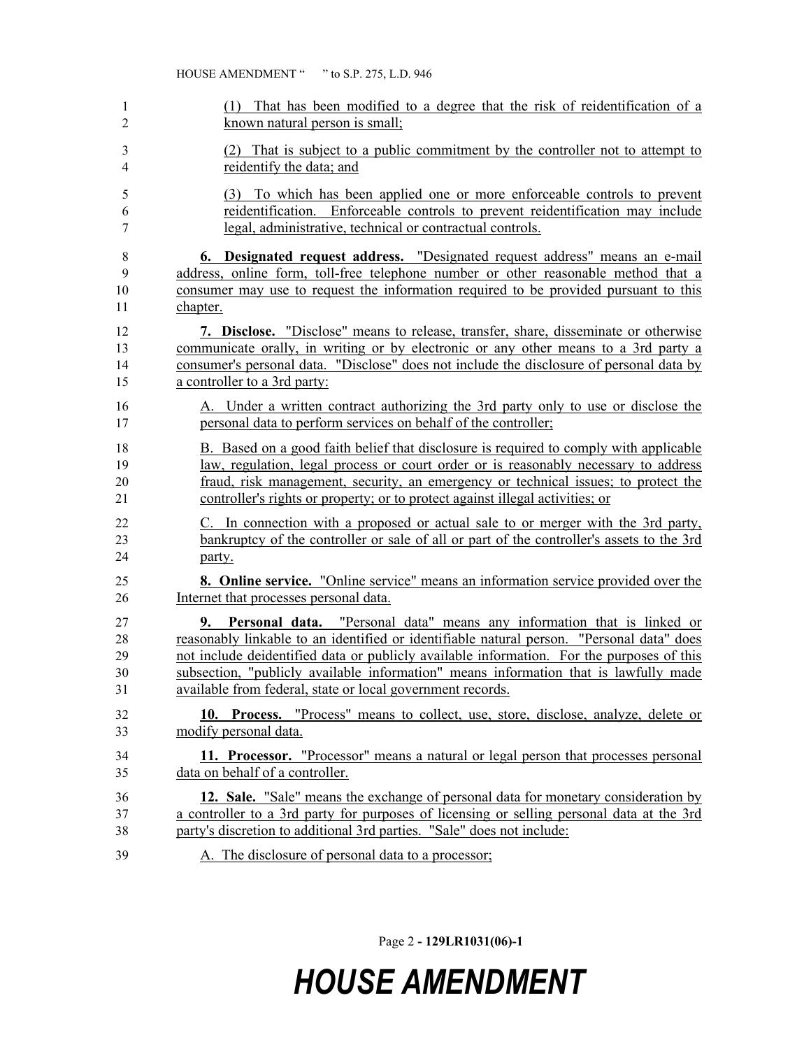| 1              | (1) That has been modified to a degree that the risk of reidentification of a             |
|----------------|-------------------------------------------------------------------------------------------|
| $\overline{2}$ | known natural person is small;                                                            |
| $\mathfrak{Z}$ | (2) That is subject to a public commitment by the controller not to attempt to            |
| $\overline{4}$ | reidentify the data; and                                                                  |
| 5              | (3) To which has been applied one or more enforceable controls to prevent                 |
| 6              | reidentification. Enforceable controls to prevent reidentification may include            |
| 7              | legal, administrative, technical or contractual controls.                                 |
| 8              | 6. Designated request address. "Designated request address" means an e-mail               |
| 9              | address, online form, toll-free telephone number or other reasonable method that a        |
| 10             | consumer may use to request the information required to be provided pursuant to this      |
| 11             | chapter.                                                                                  |
| 12             | 7. Disclose. "Disclose" means to release, transfer, share, disseminate or otherwise       |
| 13             | communicate orally, in writing or by electronic or any other means to a 3rd party a       |
| 14             | consumer's personal data. "Disclose" does not include the disclosure of personal data by  |
| 15             | a controller to a 3rd party:                                                              |
| 16             | A. Under a written contract authorizing the 3rd party only to use or disclose the         |
| 17             | personal data to perform services on behalf of the controller;                            |
| 18             | B. Based on a good faith belief that disclosure is required to comply with applicable     |
| 19             | law, regulation, legal process or court order or is reasonably necessary to address       |
| 20             | fraud, risk management, security, an emergency or technical issues; to protect the        |
| 21             | controller's rights or property; or to protect against illegal activities; or             |
| 22             | C. In connection with a proposed or actual sale to or merger with the 3rd party,          |
| 23             | bankruptcy of the controller or sale of all or part of the controller's assets to the 3rd |
| 24             | party.                                                                                    |
| 25             | <b>8. Online service.</b> "Online service" means an information service provided over the |
| 26             | Internet that processes personal data.                                                    |
| 27             | 9. Personal data. "Personal data" means any information that is linked or                 |
| 28             | reasonably linkable to an identified or identifiable natural person. "Personal data" does |
| 29             | not include deidentified data or publicly available information. For the purposes of this |
| 30             | subsection, "publicly available information" means information that is lawfully made      |
| 31             | available from federal, state or local government records.                                |
| 32             | 10. Process. "Process" means to collect, use, store, disclose, analyze, delete or         |
| 33             | modify personal data.                                                                     |
| 34             | 11. Processor. "Processor" means a natural or legal person that processes personal        |
| 35             | data on behalf of a controller.                                                           |
| 36             | 12. Sale. "Sale" means the exchange of personal data for monetary consideration by        |
| 37             | a controller to a 3rd party for purposes of licensing or selling personal data at the 3rd |
| 38             | party's discretion to additional 3rd parties. "Sale" does not include:                    |
| 39             | A. The disclosure of personal data to a processor;                                        |

Page 2 **- 129LR1031(06)-1**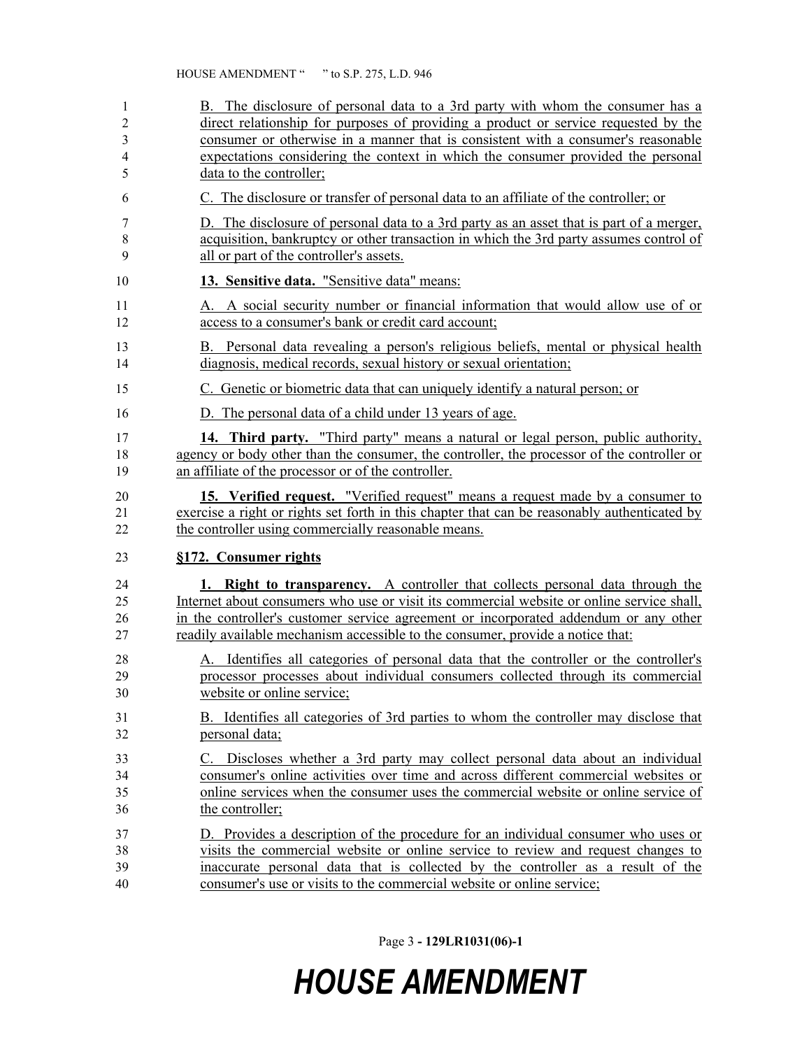| 1              | B. The disclosure of personal data to a 3rd party with whom the consumer has a               |
|----------------|----------------------------------------------------------------------------------------------|
| $\overline{c}$ | direct relationship for purposes of providing a product or service requested by the          |
| 3              | consumer or otherwise in a manner that is consistent with a consumer's reasonable            |
| 4              | expectations considering the context in which the consumer provided the personal             |
| 5              | data to the controller;                                                                      |
| 6              | C. The disclosure or transfer of personal data to an affiliate of the controller; or         |
| 7              | D. The disclosure of personal data to a 3rd party as an asset that is part of a merger,      |
| $\,$ 8 $\,$    | acquisition, bankruptcy or other transaction in which the 3rd party assumes control of       |
| 9              | all or part of the controller's assets.                                                      |
| 10             | 13. Sensitive data. "Sensitive data" means:                                                  |
| 11             | A. A social security number or financial information that would allow use of or              |
| 12             | access to a consumer's bank or credit card account;                                          |
| 13             | B. Personal data revealing a person's religious beliefs, mental or physical health           |
| 14             | diagnosis, medical records, sexual history or sexual orientation;                            |
| 15             | C. Genetic or biometric data that can uniquely identify a natural person; or                 |
| 16             | D. The personal data of a child under 13 years of age.                                       |
| 17             | <b>14. Third party.</b> "Third party" means a natural or legal person, public authority,     |
| 18             | agency or body other than the consumer, the controller, the processor of the controller or   |
| 19             | an affiliate of the processor or of the controller.                                          |
| 20             | 15. Verified request. "Verified request" means a request made by a consumer to               |
| 21             | exercise a right or rights set forth in this chapter that can be reasonably authenticated by |
| 22             | the controller using commercially reasonable means.                                          |
| 23             | §172. Consumer rights                                                                        |
| 24             | <b>1. Right to transparency.</b> A controller that collects personal data through the        |
| 25             | Internet about consumers who use or visit its commercial website or online service shall,    |
| 26             | in the controller's customer service agreement or incorporated addendum or any other         |
| 27             | readily available mechanism accessible to the consumer, provide a notice that:               |
| 28             | A. Identifies all categories of personal data that the controller or the controller's        |
| 29             | processor processes about individual consumers collected through its commercial              |
| 30             | website or online service;                                                                   |
| 31             | B. Identifies all categories of 3rd parties to whom the controller may disclose that         |
| 32             | personal data;                                                                               |
| 33             | C. Discloses whether a 3rd party may collect personal data about an individual               |
| 34             | consumer's online activities over time and across different commercial websites or           |
| 35             | online services when the consumer uses the commercial website or online service of           |
| 36             | the controller;                                                                              |
| 37             | D. Provides a description of the procedure for an individual consumer who uses or            |
| 38             | visits the commercial website or online service to review and request changes to             |
| 39             | inaccurate personal data that is collected by the controller as a result of the              |
| 40             | consumer's use or visits to the commercial website or online service;                        |

Page 3 **- 129LR1031(06)-1**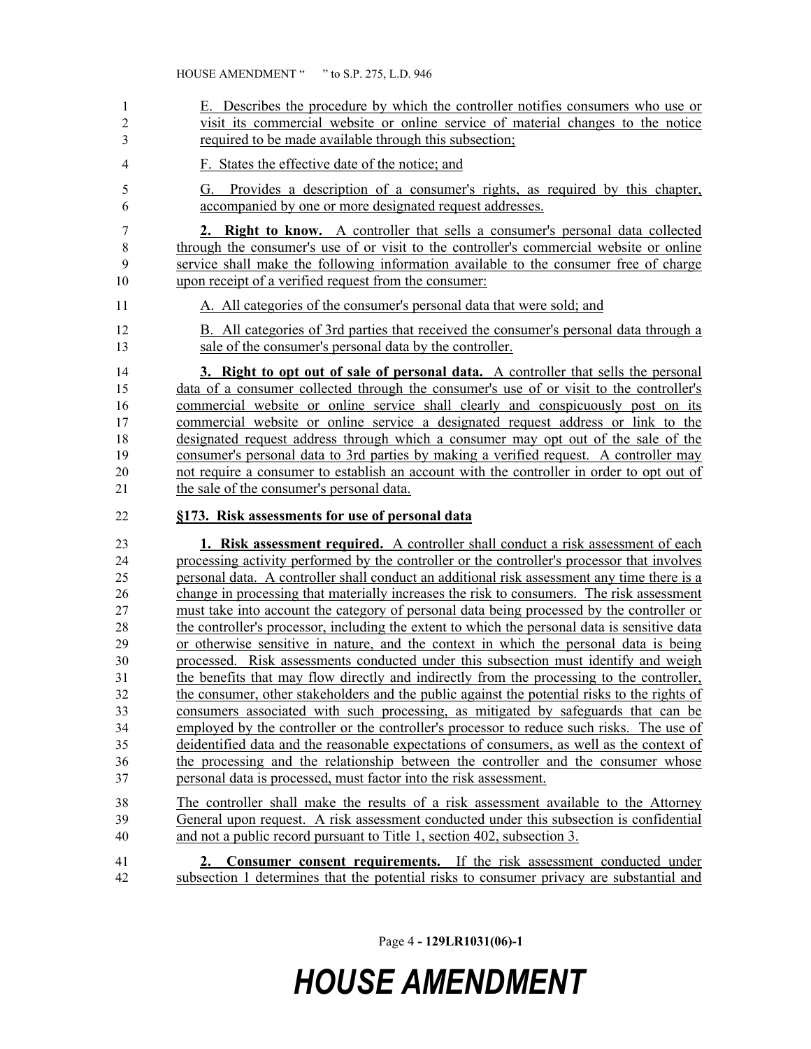E. Describes the procedure by which the controller notifies consumers who use or visit its commercial website or online service of material changes to the notice required to be made available through this subsection; F. States the effective date of the notice; and G. Provides a description of a consumer's rights, as required by this chapter, accompanied by one or more designated request addresses. **2. Right to know.** A controller that sells a consumer's personal data collected 8 through the consumer's use of or visit to the controller's commercial website or online service shall make the following information available to the consumer free of charge upon receipt of a verified request from the consumer: A. All categories of the consumer's personal data that were sold; and B. All categories of 3rd parties that received the consumer's personal data through a sale of the consumer's personal data by the controller. **3. Right to opt out of sale of personal data.** A controller that sells the personal data of a consumer collected through the consumer's use of or visit to the controller's commercial website or online service shall clearly and conspicuously post on its commercial website or online service a designated request address or link to the designated request address through which a consumer may opt out of the sale of the consumer's personal data to 3rd parties by making a verified request. A controller may not require a consumer to establish an account with the controller in order to opt out of the sale of the consumer's personal data. **§173. Risk assessments for use of personal data 1. Risk assessment required.** A controller shall conduct a risk assessment of each processing activity performed by the controller or the controller's processor that involves personal data. A controller shall conduct an additional risk assessment any time there is a change in processing that materially increases the risk to consumers. The risk assessment must take into account the category of personal data being processed by the controller or the controller's processor, including the extent to which the personal data is sensitive data or otherwise sensitive in nature, and the context in which the personal data is being processed. Risk assessments conducted under this subsection must identify and weigh the benefits that may flow directly and indirectly from the processing to the controller, the consumer, other stakeholders and the public against the potential risks to the rights of consumers associated with such processing, as mitigated by safeguards that can be 34 employed by the controller or the controller's processor to reduce such risks. The use of deidentified data and the reasonable expectations of consumers, as well as the context of the processing and the relationship between the controller and the consumer whose personal data is processed, must factor into the risk assessment. The controller shall make the results of a risk assessment available to the Attorney General upon request. A risk assessment conducted under this subsection is confidential and not a public record pursuant to Title 1, section 402, subsection 3. **2. Consumer consent requirements.** If the risk assessment conducted under subsection 1 determines that the potential risks to consumer privacy are substantial and

Page 4 **- 129LR1031(06)-1**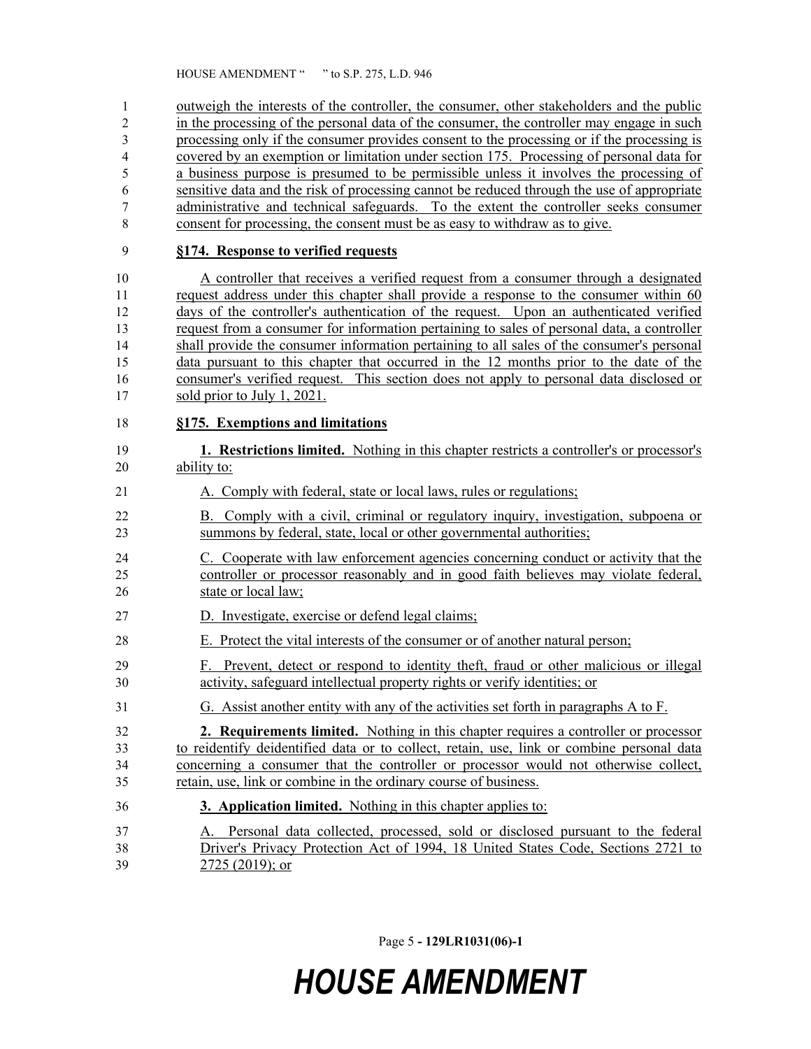outweigh the interests of the controller, the consumer, other stakeholders and the public in the processing of the personal data of the consumer, the controller may engage in such processing only if the consumer provides consent to the processing or if the processing is covered by an exemption or limitation under section 175. Processing of personal data for a business purpose is presumed to be permissible unless it involves the processing of sensitive data and the risk of processing cannot be reduced through the use of appropriate administrative and technical safeguards. To the extent the controller seeks consumer consent for processing, the consent must be as easy to withdraw as to give.

#### **§174. Response to verified requests**

 A controller that receives a verified request from a consumer through a designated 11 request address under this chapter shall provide a response to the consumer within 60 days of the controller's authentication of the request. Upon an authenticated verified request from a consumer for information pertaining to sales of personal data, a controller shall provide the consumer information pertaining to all sales of the consumer's personal data pursuant to this chapter that occurred in the 12 months prior to the date of the consumer's verified request. This section does not apply to personal data disclosed or sold prior to July 1, 2021.

#### **§175. Exemptions and limitations**

- **1. Restrictions limited.** Nothing in this chapter restricts a controller's or processor's ability to:
- A. Comply with federal, state or local laws, rules or regulations;
- B. Comply with a civil, criminal or regulatory inquiry, investigation, subpoena or summons by federal, state, local or other governmental authorities;
- C. Cooperate with law enforcement agencies concerning conduct or activity that the controller or processor reasonably and in good faith believes may violate federal, state or local law;
- D. Investigate, exercise or defend legal claims;
- E. Protect the vital interests of the consumer or of another natural person;
- F. Prevent, detect or respond to identity theft, fraud or other malicious or illegal activity, safeguard intellectual property rights or verify identities; or
- G. Assist another entity with any of the activities set forth in paragraphs A to F.
- **2. Requirements limited.** Nothing in this chapter requires a controller or processor to reidentify deidentified data or to collect, retain, use, link or combine personal data concerning a consumer that the controller or processor would not otherwise collect, retain, use, link or combine in the ordinary course of business.
- **3. Application limited.** Nothing in this chapter applies to:
- A. Personal data collected, processed, sold or disclosed pursuant to the federal Driver's Privacy Protection Act of 1994, 18 United States Code, Sections 2721 to 2725 (2019); or

Page 5 **- 129LR1031(06)-1**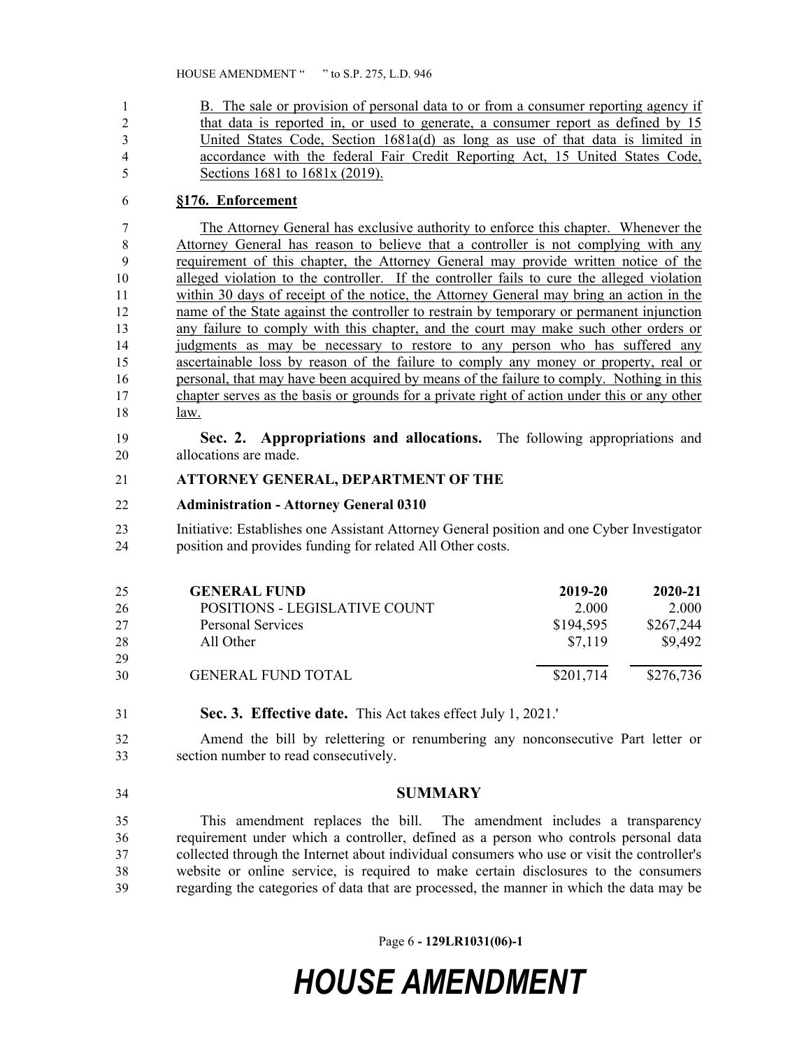B. The sale or provision of personal data to or from a consumer reporting agency if that data is reported in, or used to generate, a consumer report as defined by 15 United States Code, Section 1681a(d) as long as use of that data is limited in accordance with the federal Fair Credit Reporting Act, 15 United States Code, Sections 1681 to 1681x (2019).

### **§176. Enforcement**

 The Attorney General has exclusive authority to enforce this chapter. Whenever the Attorney General has reason to believe that a controller is not complying with any requirement of this chapter, the Attorney General may provide written notice of the alleged violation to the controller. If the controller fails to cure the alleged violation 11 within 30 days of receipt of the notice, the Attorney General may bring an action in the 12 name of the State against the controller to restrain by temporary or permanent injunction any failure to comply with this chapter, and the court may make such other orders or judgments as may be necessary to restore to any person who has suffered any ascertainable loss by reason of the failure to comply any money or property, real or personal, that may have been acquired by means of the failure to comply. Nothing in this chapter serves as the basis or grounds for a private right of action under this or any other law.

 **Sec. 2. Appropriations and allocations.** The following appropriations and allocations are made.

#### **ATTORNEY GENERAL, DEPARTMENT OF THE**

#### **Administration - Attorney General 0310**

 Initiative: Establishes one Assistant Attorney General position and one Cyber Investigator position and provides funding for related All Other costs.

| 25 | <b>GENERAL FUND</b>           | 2019-20   | $2020 - 21$ |
|----|-------------------------------|-----------|-------------|
| 26 | POSITIONS - LEGISLATIVE COUNT | 2.000     | 2.000       |
| 27 | Personal Services             | \$194,595 | \$267,244   |
| 28 | All Other                     | \$7.119   | \$9,492     |
| 29 |                               |           |             |
| 30 | <b>GENERAL FUND TOTAL</b>     | \$201,714 | \$276,736   |

**Sec. 3. Effective date.** This Act takes effect July 1, 2021.'

 Amend the bill by relettering or renumbering any nonconsecutive Part letter or section number to read consecutively.

**SUMMARY**

 This amendment replaces the bill. The amendment includes a transparency requirement under which a controller, defined as a person who controls personal data collected through the Internet about individual consumers who use or visit the controller's website or online service, is required to make certain disclosures to the consumers regarding the categories of data that are processed, the manner in which the data may be

Page 6 **- 129LR1031(06)-1**